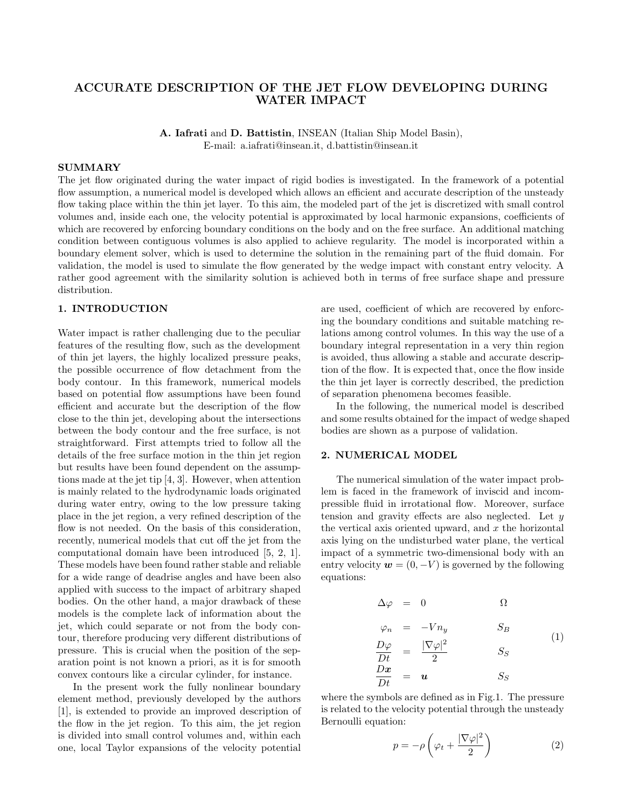## ACCURATE DESCRIPTION OF THE JET FLOW DEVELOPING DURING WATER IMPACT

A. Iafrati and D. Battistin, INSEAN (Italian Ship Model Basin), E-mail: a.iafrati@insean.it, d.battistin@insean.it

#### SUMMARY

The jet flow originated during the water impact of rigid bodies is investigated. In the framework of a potential flow assumption, a numerical model is developed which allows an efficient and accurate description of the unsteady flow taking place within the thin jet layer. To this aim, the modeled part of the jet is discretized with small control volumes and, inside each one, the velocity potential is approximated by local harmonic expansions, coefficients of which are recovered by enforcing boundary conditions on the body and on the free surface. An additional matching condition between contiguous volumes is also applied to achieve regularity. The model is incorporated within a boundary element solver, which is used to determine the solution in the remaining part of the fluid domain. For validation, the model is used to simulate the flow generated by the wedge impact with constant entry velocity. A rather good agreement with the similarity solution is achieved both in terms of free surface shape and pressure distribution.

## 1. INTRODUCTION

Water impact is rather challenging due to the peculiar features of the resulting flow, such as the development of thin jet layers, the highly localized pressure peaks, the possible occurrence of flow detachment from the body contour. In this framework, numerical models based on potential flow assumptions have been found efficient and accurate but the description of the flow close to the thin jet, developing about the intersections between the body contour and the free surface, is not straightforward. First attempts tried to follow all the details of the free surface motion in the thin jet region but results have been found dependent on the assumptions made at the jet tip [4, 3]. However, when attention is mainly related to the hydrodynamic loads originated during water entry, owing to the low pressure taking place in the jet region, a very refined description of the flow is not needed. On the basis of this consideration, recently, numerical models that cut off the jet from the computational domain have been introduced [5, 2, 1]. These models have been found rather stable and reliable for a wide range of deadrise angles and have been also applied with success to the impact of arbitrary shaped bodies. On the other hand, a major drawback of these models is the complete lack of information about the jet, which could separate or not from the body contour, therefore producing very different distributions of pressure. This is crucial when the position of the separation point is not known a priori, as it is for smooth convex contours like a circular cylinder, for instance.

In the present work the fully nonlinear boundary element method, previously developed by the authors [1], is extended to provide an improved description of the flow in the jet region. To this aim, the jet region is divided into small control volumes and, within each one, local Taylor expansions of the velocity potential

are used, coefficient of which are recovered by enforcing the boundary conditions and suitable matching relations among control volumes. In this way the use of a boundary integral representation in a very thin region is avoided, thus allowing a stable and accurate description of the flow. It is expected that, once the flow inside the thin jet layer is correctly described, the prediction of separation phenomena becomes feasible.

In the following, the numerical model is described and some results obtained for the impact of wedge shaped bodies are shown as a purpose of validation.

#### 2. NUMERICAL MODEL

The numerical simulation of the water impact problem is faced in the framework of inviscid and incompressible fluid in irrotational flow. Moreover, surface tension and gravity effects are also neglected. Let  $y$ the vertical axis oriented upward, and  $x$  the horizontal axis lying on the undisturbed water plane, the vertical impact of a symmetric two-dimensional body with an entry velocity  $\mathbf{w} = (0, -V)$  is governed by the following equations:

$$
\Delta \varphi = 0 \qquad \Omega
$$
  
\n
$$
\varphi_n = -Vn_y \qquad S_B
$$
  
\n
$$
\frac{D\varphi}{Dt} = \frac{|\nabla \varphi|^2}{2} \qquad S_S
$$
  
\n
$$
\frac{Dx}{Dt} = u \qquad S_S
$$
 (1)

where the symbols are defined as in Fig.1. The pressure is related to the velocity potential through the unsteady Bernoulli equation:

$$
p = -\rho \left(\varphi_t + \frac{|\nabla \varphi|^2}{2}\right) \tag{2}
$$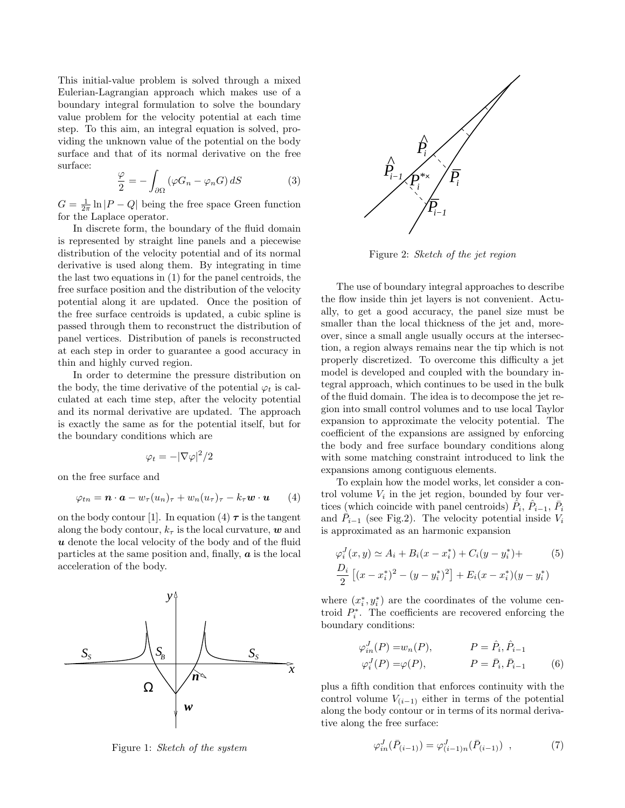This initial-value problem is solved through a mixed Eulerian-Lagrangian approach which makes use of a boundary integral formulation to solve the boundary value problem for the velocity potential at each time step. To this aim, an integral equation is solved, providing the unknown value of the potential on the body surface and that of its normal derivative on the free surface:

$$
\frac{\varphi}{2} = -\int_{\partial\Omega} \left( \varphi G_n - \varphi_n G \right) dS \tag{3}
$$

 $G = \frac{1}{2\pi} \ln |P - Q|$  being the free space Green function for the Laplace operator.

In discrete form, the boundary of the fluid domain is represented by straight line panels and a piecewise distribution of the velocity potential and of its normal derivative is used along them. By integrating in time the last two equations in (1) for the panel centroids, the free surface position and the distribution of the velocity potential along it are updated. Once the position of the free surface centroids is updated, a cubic spline is passed through them to reconstruct the distribution of panel vertices. Distribution of panels is reconstructed at each step in order to guarantee a good accuracy in thin and highly curved region.

In order to determine the pressure distribution on the body, the time derivative of the potential  $\varphi_t$  is calculated at each time step, after the velocity potential and its normal derivative are updated. The approach is exactly the same as for the potential itself, but for the boundary conditions which are

$$
\varphi_t=-|\nabla \varphi|^2/2
$$

on the free surface and

$$
\varphi_{tn} = \boldsymbol{n} \cdot \boldsymbol{a} - w_{\tau}(u_n)_{\tau} + w_n(u_{\tau})_{\tau} - k_{\tau} \boldsymbol{w} \cdot \boldsymbol{u} \qquad (4)
$$

on the body contour [1]. In equation (4)  $\tau$  is the tangent along the body contour,  $k<sub>\tau</sub>$  is the local curvature, w and  $u$  denote the local velocity of the body and of the fluid particles at the same position and, finally,  $\boldsymbol{a}$  is the local acceleration of the body.



Figure 1: Sketch of the system



Figure 2: Sketch of the jet region

The use of boundary integral approaches to describe the flow inside thin jet layers is not convenient. Actually, to get a good accuracy, the panel size must be smaller than the local thickness of the jet and, moreover, since a small angle usually occurs at the intersection, a region always remains near the tip which is not properly discretized. To overcome this difficulty a jet model is developed and coupled with the boundary integral approach, which continues to be used in the bulk of the fluid domain. The idea is to decompose the jet region into small control volumes and to use local Taylor expansion to approximate the velocity potential. The coefficient of the expansions are assigned by enforcing the body and free surface boundary conditions along with some matching constraint introduced to link the expansions among contiguous elements.

To explain how the model works, let consider a control volume  $V_i$  in the jet region, bounded by four vertices (which coincide with panel centroids)  $\hat{P}_i$ ,  $\hat{P}_{i-1}$ ,  $\bar{P}_i$ and  $\hat{P}_{i-1}$  (see Fig.2). The velocity potential inside  $V_i$ is approximated as an harmonic expansion

$$
\varphi_i^J(x, y) \simeq A_i + B_i(x - x_i^*) + C_i(y - y_i^*) +
$$
  
\n
$$
\frac{D_i}{2} \left[ (x - x_i^*)^2 - (y - y_i^*)^2 \right] + E_i(x - x_i^*)(y - y_i^*)
$$

where  $(x_i^*, y_i^*)$  are the coordinates of the volume centroid  $P_i^*$ . The coefficients are recovered enforcing the boundary conditions:

$$
\varphi_{in}^J(P) = w_n(P), \qquad P = \hat{P}_i, \hat{P}_{i-1}
$$
  

$$
\varphi_i^J(P) = \varphi(P), \qquad P = \bar{P}_i, \bar{P}_{i-1} \qquad (6)
$$

plus a fifth condition that enforces continuity with the control volume  $V_{(i-1)}$  either in terms of the potential along the body contour or in terms of its normal derivative along the free surface:

$$
\varphi_{in}^J(\bar{P}_{(i-1)}) = \varphi_{(i-1)n}^J(\bar{P}_{(i-1)}) \quad , \tag{7}
$$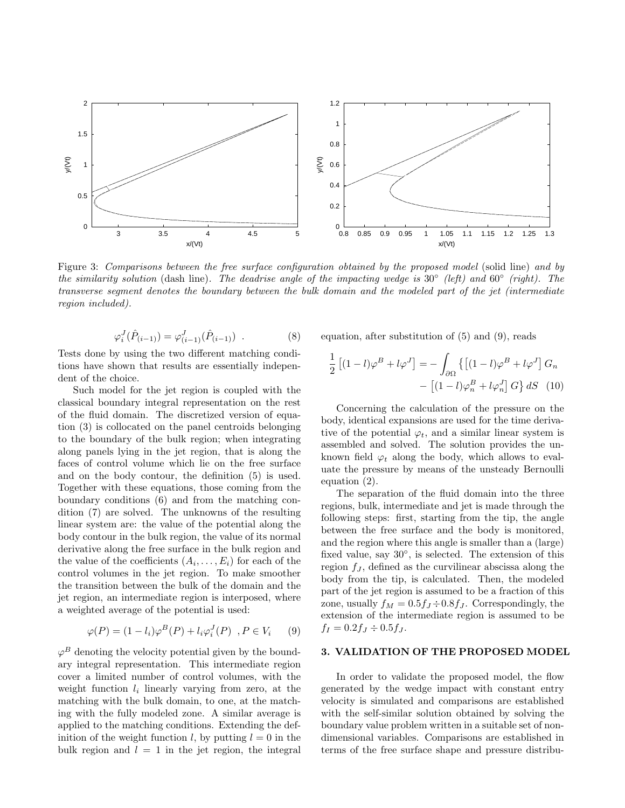

Figure 3: Comparisons between the free surface configuration obtained by the proposed model (solid line) and by the similarity solution (dash line). The deadrise angle of the impacting wedge is  $30°$  (left) and  $60°$  (right). The transverse segment denotes the boundary between the bulk domain and the modeled part of the jet (intermediate region included).

$$
\varphi_i^J(\hat{P}_{(i-1)}) = \varphi_{(i-1)}^J(\hat{P}_{(i-1)}) . \tag{8}
$$

Tests done by using the two different matching conditions have shown that results are essentially independent of the choice.

Such model for the jet region is coupled with the classical boundary integral representation on the rest of the fluid domain. The discretized version of equation (3) is collocated on the panel centroids belonging to the boundary of the bulk region; when integrating along panels lying in the jet region, that is along the faces of control volume which lie on the free surface and on the body contour, the definition (5) is used. Together with these equations, those coming from the boundary conditions (6) and from the matching condition (7) are solved. The unknowns of the resulting linear system are: the value of the potential along the body contour in the bulk region, the value of its normal derivative along the free surface in the bulk region and the value of the coefficients  $(A_i, \ldots, E_i)$  for each of the control volumes in the jet region. To make smoother the transition between the bulk of the domain and the jet region, an intermediate region is interposed, where a weighted average of the potential is used:

$$
\varphi(P) = (1 - l_i)\varphi^B(P) + l_i\varphi_i^J(P) \quad P \in V_i \qquad (9)
$$

 $\varphi^B$  denoting the velocity potential given by the boundary integral representation. This intermediate region cover a limited number of control volumes, with the weight function  $l_i$  linearly varying from zero, at the matching with the bulk domain, to one, at the matching with the fully modeled zone. A similar average is applied to the matching conditions. Extending the definition of the weight function l, by putting  $l = 0$  in the bulk region and  $l = 1$  in the jet region, the integral

equation, after substitution of (5) and (9), reads

$$
\frac{1}{2} \left[ (1-l)\varphi^B + l\varphi^J \right] = -\int_{\partial\Omega} \left\{ \left[ (1-l)\varphi^B + l\varphi^J \right] G_n \right. \\ \left. - \left[ (1-l)\varphi_n^B + l\varphi_n^J \right] G \right\} dS \tag{10}
$$

Concerning the calculation of the pressure on the body, identical expansions are used for the time derivative of the potential  $\varphi_t$ , and a similar linear system is assembled and solved. The solution provides the unknown field  $\varphi_t$  along the body, which allows to evaluate the pressure by means of the unsteady Bernoulli equation (2).

The separation of the fluid domain into the three regions, bulk, intermediate and jet is made through the following steps: first, starting from the tip, the angle between the free surface and the body is monitored, and the region where this angle is smaller than a (large) fixed value, say 30°, is selected. The extension of this region  $f_J$ , defined as the curvilinear abscissa along the body from the tip, is calculated. Then, the modeled part of the jet region is assumed to be a fraction of this zone, usually  $f_M = 0.5 f_J \div 0.8 f_J$ . Correspondingly, the extension of the intermediate region is assumed to be  $f_I = 0.2 f_J \div 0.5 f_J$ .

## 3. VALIDATION OF THE PROPOSED MODEL

In order to validate the proposed model, the flow generated by the wedge impact with constant entry velocity is simulated and comparisons are established with the self-similar solution obtained by solving the boundary value problem written in a suitable set of nondimensional variables. Comparisons are established in terms of the free surface shape and pressure distribu-